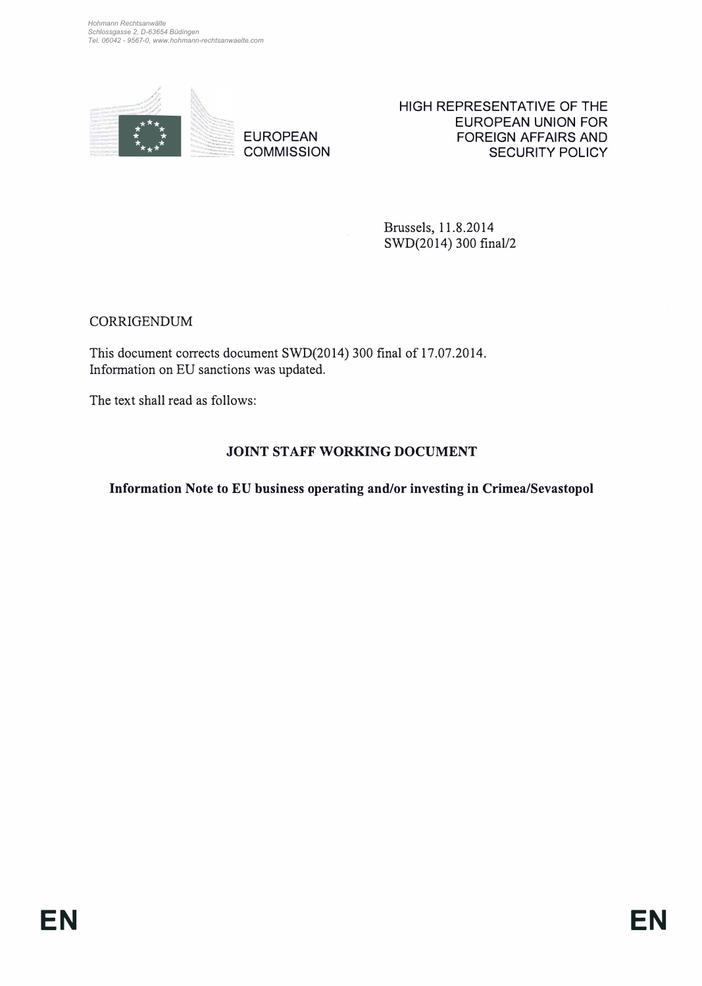

EUROPEAN **COMMISSION**  HIGH REPRESENTATIVE OF THE EUROPEAN UNION FOR FOREIGN AFFAIRS AND SECURITY POLICY

Brussels, 11.8.2014 SWD(2014) 300 final/2

CORRIGENDUM

This document corrects document SWD(2014) 300 final of 17.07.2014. Information on EU sanctions was updated.

The text shall read as follows:

# **JOINT STAFF WORKING DOCUMENT**

**Information Note to EU business operating and/or investing in Crimea/Sevastopol**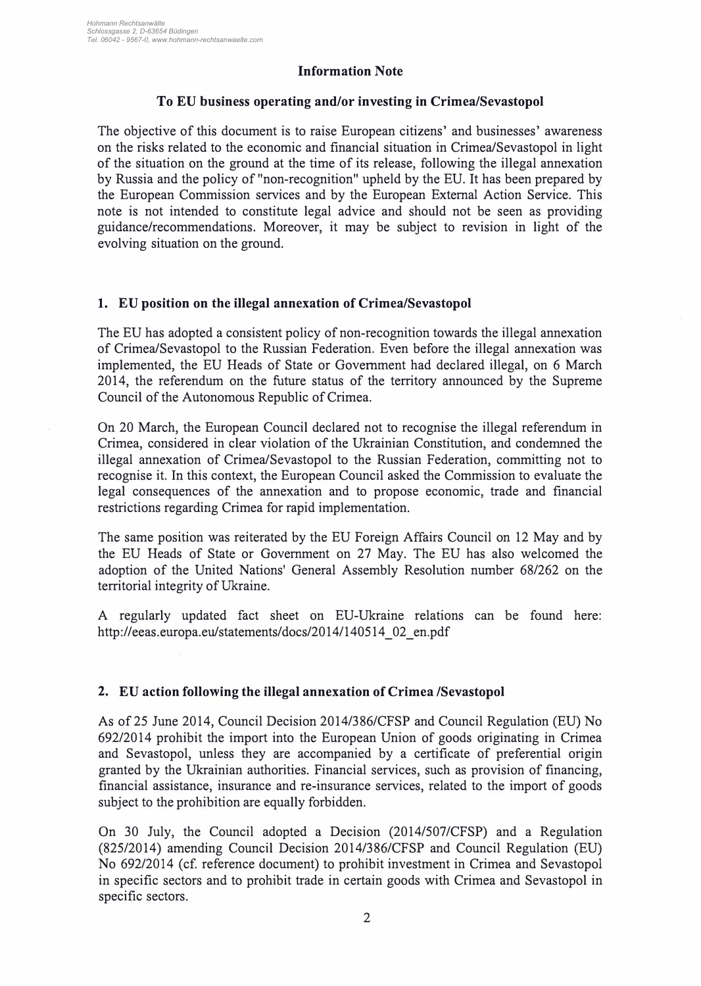## **Information Note**

### **To EU business operating and/or investing in Crimea/Sevastopol**

The objective of this document is to raise European citizens' and businesses' awareness on the risks related to the economic and financial situation in Crimea/Sevastopol in light of the situation on the ground at the time of its release, following the illegal annexation by Russia and the policy of "non-recognition" upheld by the EU. lt has been prepared by the European Commission services and by the European Externat Action Service. This note is not intended to constitute legal advice and should not be seen as providing guidance/recommendations. Moreover, it may be subject to revision in light of the evolving situation on the ground.

## **1. EU position on the illegal annexation of Crimea/Sevastopol**

The EU has adopted a consistent policy of non-recognition towards the illegal annexation of Crimea/Sevastopol to the Russian Federation. Even before the illegal annexation was implemented, the EU Heads of State or Government had declared illegal, on 6 March 2014, the referendum on the future status of the territory announced by the Supreme Council of the Autonomous Republic of Crimea.

On 20 March, the European Council declared not to recognise the illegal referendum in Crimea, considered in clear violation of the Ukrainian Constitution, and condernned the illegal annexation of Crimea/Sevastopol to the Russian Federation, committing not to recognise it. In this context, the European Council asked the Commission to evaluate the legal consequences of the annexation and to propose economic, trade and financial restrictions regarding Crimea for rapid implementation.

The same position was reiterated by the EU Foreign Affairs Council on 12 May and by the EU Heads of State or Government on 27 May. The EU has also welcomed the adoption of the United Nations' General Assembly Resolution number 68/262 on the territorial integrity of Ukraine.

A regularly updated fact sheet on EU-Ukraine relations can be found here: http://eeas.europa.eu/statements/docs/2014/140514\_02\_en.pdf

## **2. EU action following the illegal annexation of Crimea /Sevastopol**

As of 25 June 2014, Council Decision 2014/386/CFSP and Council Regulation (EU) No 692/2014 prohibit the import into the European Union of goods originating in Crimea and Sevastopol, unless they are accompanied by a certificate of preferential origin granted by the Ukrainian authorities. Financial services, such as provision of financing, financial assistance, insurance and re-insurance services, related to the import of goods subject to the prohibition are equally forbidden.

On 30 July, the Council adopted a Decision (2014/507/CFSP) and a Regulation (825/2014) amending Council Decision 2014/386/CFSP and Council Regulation (EU) No 692/2014 (cf. reference document) to prohibit investment in Crimea and Sevastopol in specific sectors and to prohibit trade in certain goods with Crimea and Sevastopol in specific sectors.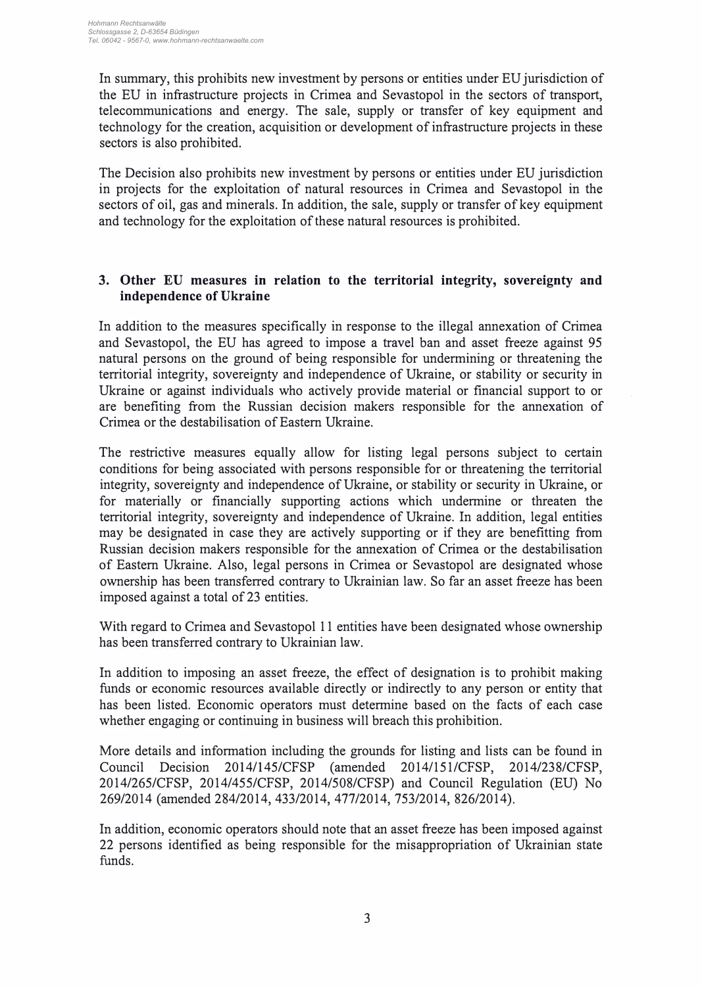In summary, this prohibits new investment by persons or entities under EU jurisdiction of the EU in infrastructure projects in Crimea and Sevastopol in the sectors of transport, telecommunications and energy. The sale, supply or transfer of key equipment and technology for the creation, acquisition or development of infrastructure projects in these sectors is also prohibited.

The Decision also prohibits new investment by persons or entities under EU jurisdiction in projects for the exploitation of natural resources in Crimea and Sevastopol in the sectors of oil, gas and minerals. In addition, the sale, supply or transfer of key equipment and technology for the exploitation of these natural resources is prohibited.

# **3. Other EU measures in relation to the territorial integrity, sovereignty and independence of Ukraine**

In addition to the measures specifically in response to the illegal annexation of Crimea and Sevastopol, the EU has agreed to impose a travel ban and asset freeze against 95 natural persons on the ground of being responsible for undermining or threatening the territorial integrity, sovereignty and independence of Ukraine, or stability or security in Ukraine or against individuals who actively provide material or financial support to or are benefiting from the Russian decision makers responsible for the annexation of Crimea or the destabilisation of Eastem Ukraine.

The restrictive measures equally allow for listing legal persons subject to certain conditions for being associated with persons responsible for or threatening the territorial integrity, sovereignty and independence of Ukraine, or stability or security in Ukraine, or for materially or financially supporting actions which undermine or threaten the territorial integrity, sovereignty and independence of Ukraine. In addition, legal entities may be designated in case they are actively supporting or if they are benefitting from Russian decision makers responsible for the annexation of Crimea or the destabilisation of Eastem Ukraine. Also, legal persons in Crimea or Sevastopol are designated whose ownership has been transferred contrary to Ukrainian law. So far an asset freeze has been imposed against a total of 23 entities.

With regard to Crimea and Sevastopol 11 entities have been designated whose ownership has been transferred contrary to Ukrainian law.

In addition to imposing an asset freeze, the effect of designation is to prohibit making funds or economic resources available directly or indirectly to any person or entity that has been listed. Economic operators must determine based on the facts of each case whether engaging or continuing in business will breach this prohibition.

More details and information including the grounds for listing and lists can be found in Council Decision 2014/145/CFSP (amended 2014/151/CFSP, 2014/238/CFSP, 2014/265/CFSP, 2014/455/CFSP, 2014/508/CFSP) and Council Regulation (EU) No 269/2014 (amended 284/2014, 433/2014, 477/2014, 753/2014, 826/2014).

In addition, economic operators should note that an asset freeze has been imposed against 22 persons identified as being responsible for the misappropriation of Ukrainian state funds.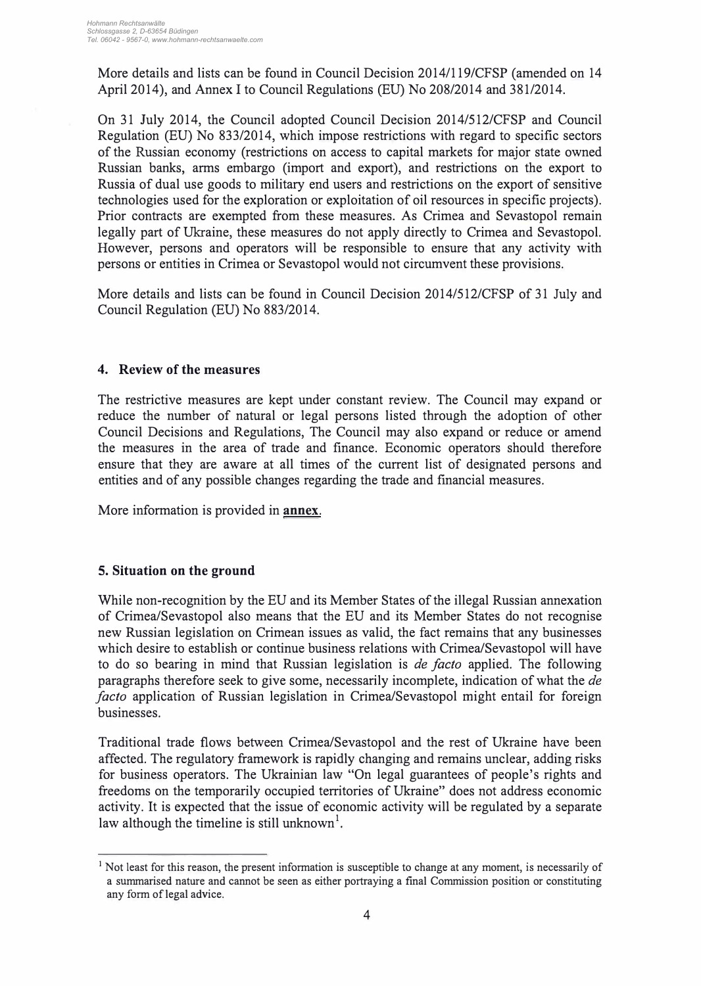More details and lists can be found in Council Decision 2014/119/CFSP (amended on 14 April 2014), and Annex I to Council Regulations (EU) No 208/2014 and 381/2014.

On 31 July 2014, the Council adopted Council Decision 2014/512/CFSP and Council Regulation (EU) No 833/2014, which impose restrictions with regard to specific sectors of the Russian economy (restrictions on access to capital markets for major state owned Russian banks, arms embargo (import and export), and restrictions on the export to Russia of dual use goods to military end users and restrictions on the export of sensitive technologies used for the exploration or exploitation of oil resources in specific projects). Prior contracts are exempted from these measures. As Crimea and Sevastopol remain legally part of Ukraine, these measures do not apply directly to Crimea and Sevastopol. However, persons and operators will be responsible to ensure that any activity with persons or entities in Crimea or Sevastopol would not circumvent these provisions.

More details and lists can be found in Council Decision 2014/512/CFSP of 31 July and Council Regulation (EU) No 883/2014.

#### **4. Review of the measures**

The restrictive measures are kept under constant review. The Council may expand or reduce the number of natural or legal persons listed through the adoption of other Council Decisions and Regulations, The Council may also expand or reduce or amend the measures in the area of trade and finance. Economic operators should therefore ensure that they are aware at all times of the current list of designated persons and entities and of any possible changes regarding the trade and financial measures.

More information is provided in **annex.** 

## **5. Situation on the ground**

While non-recognition by the EU and its Member States of the illegal Russian annexation of Crimea/Sevastopol also means that the EU and its Member States do not recognise new Russian legislation on Crimean issues as valid, the fact remains that any businesses which desire to establish or continue business relations with Crimea/Sevastopol will have to do so bearing in mind that Russian legislation is *de facto* applied. The following paragraphs therefore seek to give some, necessarily incomplete, indication of what the *de facto* application of Russian legislation in Crimea/Sevastopol might entail for foreign businesses.

Traditional trade flows between Crimea/Sevastopol and the rest of Ukraine have been affected. The regulatory framework is rapidly changing and remains unclear, adding risks for business operators. The Ukrainian law "On legal guarantees of people's rights and freedoms on the temporarily occupied territories of Ukraine" does not address economic activity. lt is expected that the issue of economic activity will be regulated by a separate law although the timeline is still unknown<sup>1</sup>.

<sup>&</sup>lt;sup>1</sup> Not least for this reason, the present information is susceptible to change at any moment, is necessarily of a summarised nature and cannot be seen as either portraying a final Commission position or constituting any form of legal advice.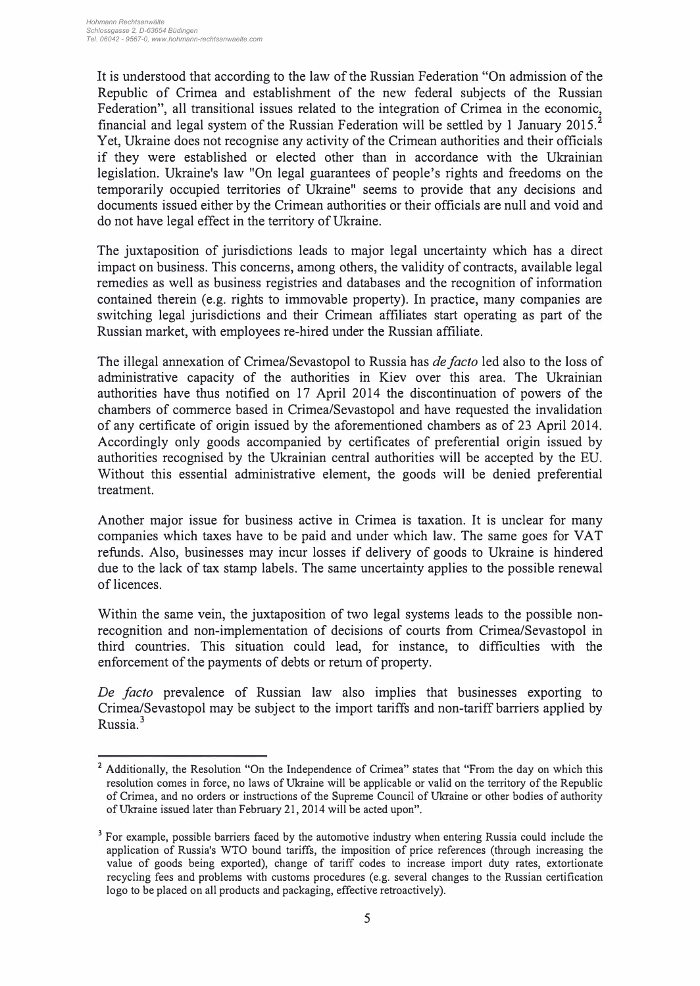It is understood that according to the law of the Russian Federation "On admission of the Republic of Crimea and establishment of the new federal subjects of the Russian Federation", all transitional issues related to the integration of Crimea in the economic, financial and legal system of the Russian Federation will be settled by 1 January 2015.<sup>2</sup> Y et, Ukraine does not recognise any activity of the Crimean authorities and their officials if they were established or elected other than in accordance with the Ukrainian legislation. Ukraine's law "On legal guarantees of people's rights and freedoms on the temporarily occupied territories of Ukraine" seems to provide that any decisions and documents issued either by the Crimean authorities or their officials are null and void and do not have legal effect in the territory of Ukraine.

The juxtaposition of jurisdictions leads to major legal uncertainty which has a direct impact on business. This concems, among others, the validity of contracts, available legal remedies as well as business registries and databases and the recognition of information contained therein (e.g. rights to immovable property). In practice, many companies are switching legal jurisdictions and their Crimean affiliates start operating as part of the Russian market, with employees re-hired under the Russian affiliate.

The illegal annexation of Crimea/Sevastopol to Russia has *de facto* led also to the loss of administrative capacity of the authorities in Kiev over this area. The Ukrainian authorities have thus notified on 17 April 2014 the discontinuation of powers of the chambers of commerce based in Crimea/Sevastopol and have requested the invalidation of any certificate of origin issued by the aforementioned chambers as of 23 April 2014. Accordingly only goods accompanied by certificates of preferential origin issued by authorities recognised by the Ukrainian central authorities will be accepted by the EU. Without this essential administrative element, the goods will be denied preferential treatment.

Another major issue for business active in Crimea is taxation. lt is unclear for many companies which taxes have to be paid and under which law. The same goes for VA T refunds. Also, businesses may incur losses if delivery of goods to Ukraine is hindered due to the lack of tax stamp labels. The same uncertainty applies to the possible renewal of licences.

Within the same vein, the juxtaposition of two legal systems leads to the possible nonrecognition and non-implementation of decisions of courts from Crimea/Sevastopol in third countries. This situation could lead, for instance, to difficulties with the enforcement of the payments of debts or return of property.

*De facto* prevalence of Russian law also implies that businesses exporting to Crimea/Sevastopol may be subject to the import tariffs and non-tariff barriers applied by Russia. <sup>3</sup>

<sup>&</sup>lt;sup>2</sup> Additionally, the Resolution "On the Independence of Crimea" states that "From the day on which this resolution comes in force, no laws of Ukraine will be applicable or valid on the territory of the Republic of Crimea, and no orders or instructions of the Supreme Council of Ukraine or other bodies of authority ofUkraine issued later than February 21, 2014 will be acted upon".

**<sup>3</sup>**For example, possible barriers faced by the automotive industry when entering Russia could include the application of Russia's WTO bound tariffs, the imposition of price references (through increasing the value of goods being exported), change of tariff codes to increase import duty rates, extortionate recycling fees and problems with customs procedures (e.g. several changes to the Russian certification logo to be placed on all products and packaging, effective retroactively).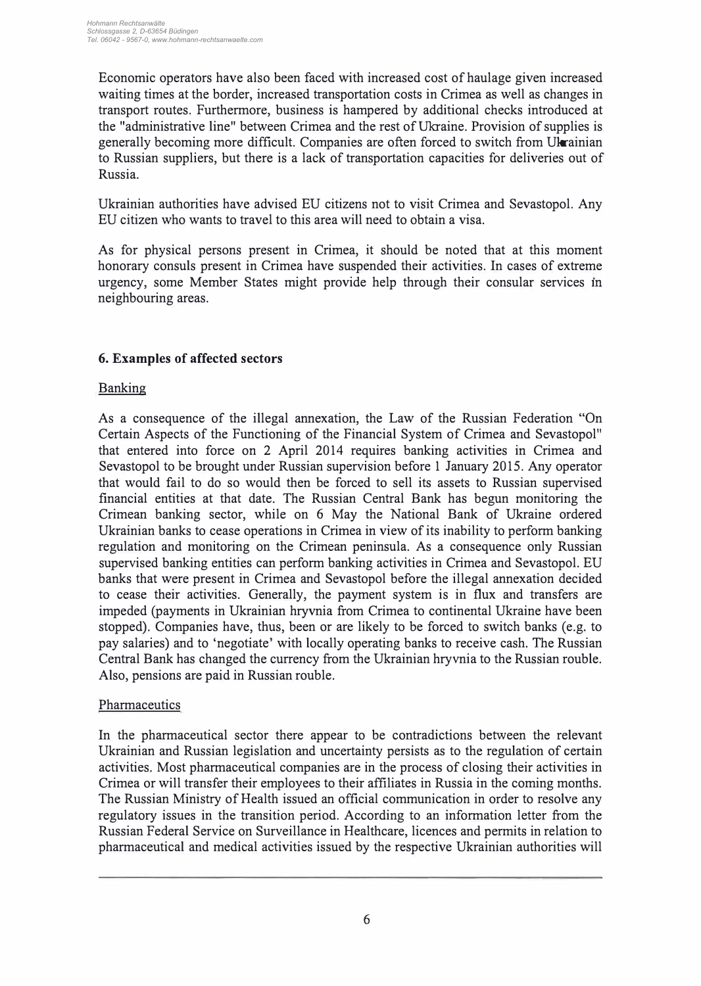Economic operators have also been faced with increased cost of haulage given increased waiting times at the border, increased transportation costs in Crimea as well as changes in transport routes. Furthermore, business is hampered by additional checks introduced at the "administrative line" between Crimea and the rest ofUkraine. Provision of supplies is generally becoming more difficult. Companies are often forced to switch from Ukrainian to Russian suppliers, but there is a lack of transportation capacities for deliveries out of Russia.

Ukrainian authorities have advised EU citizens not to visit Crimea and Sevastopol. Any EU citizen who wants to travel to this area will need to obtain a visa.

As for physical persons present in Crimea, it should be noted that at this moment honorary consuls present in Crimea have suspended their activities. In cases of extreme urgency, some Member States might provide help through their consular services in neighbouring areas.

# **6. Examples of affected sectors**

# **Banking**

As a consequence of the illegal annexation, the Law of the Russian Federation "On Certain Aspects of the Functioning of the Financial System of Crimea and Sevastopol" that entered into force on 2 April 2014 requires banking activities in Crimea and Sevastopol to be brought under Russian supervision before 1 January 2015. Any operator that would fail to do so would then be forced to sell its assets to Russian supervised financial entities at that date. The Russian Central Bank has begun monitoring the Crimean banking sector, while on 6 May the National Bank of Ukraine ordered Ukrainian banks to cease operations in Crimea in view of its inability to perform banking regulation and monitoring on the Crimean peninsula. As a consequence only Russian supervised banking entities can perform banking activities in Crimea and Sevastopol. EU banks that were present in Crimea and Sevastopol before the illegal annexation decided to cease their activities. Generally, the payment system is in flux and transfers are impeded (payments in Ukrainian hryvnia from Crimea to continental Ukraine have been stopped). Companies have, thus, been or are likely to be forced to switch banks ( e.g. to pay salaries) and to 'negotiate' with locally operating banks to receive cash. The Russian Central Bank has changed the currency from the Ukrainian hryvnia to the Russian rouble. Also, pensions are paid in Russian rouble.

## **Pharmaceutics**

In the pharmaceutical sector there appear to be contradictions between the relevant Ukrainian and Russian legislation and uncertainty persists as to the regulation of certain activities. Most pharmaceutical companies are in the process of closing their activities in Crimea or will transfer their employees to their affiliates in Russia in the coming months. The Russian Ministry of Health issued an official communication in order to resolve any regulatory issues in the transition period. According to an information letter from the Russian Federal Service on Surveillance in Healthcare, licences and permits in relation to pharmaceutical and medical activities issued by the respective Ukrainian authorities will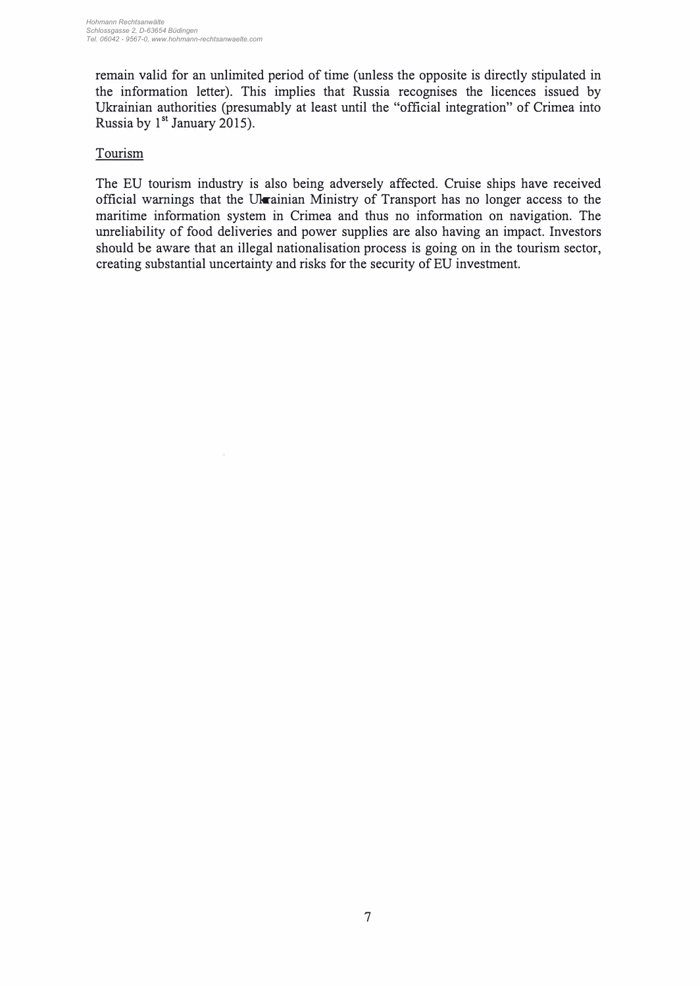remain valid for an unlimited period of time (unless the opposite is directly stipulated in the information letter). This implies that Russia recognises the licences issued by Ukrainian authorities (presumably at least until the "official integration" of Crimea into Russia by  $1<sup>st</sup>$  January 2015).

### Tourism

The EU tourism industry is also being adversely affected. Cruise ships have received official warnings that the Ukrainian Ministry of Transport has no longer access to the maritime information system in Crimea and thus no information on navigation. The unreliability of food deliveries and power supplies are also having an impact. Investors should be aware that an illegal nationalisation process is going on in the tourism sector, creating substantial uncertainty and risks for the security of EU investment.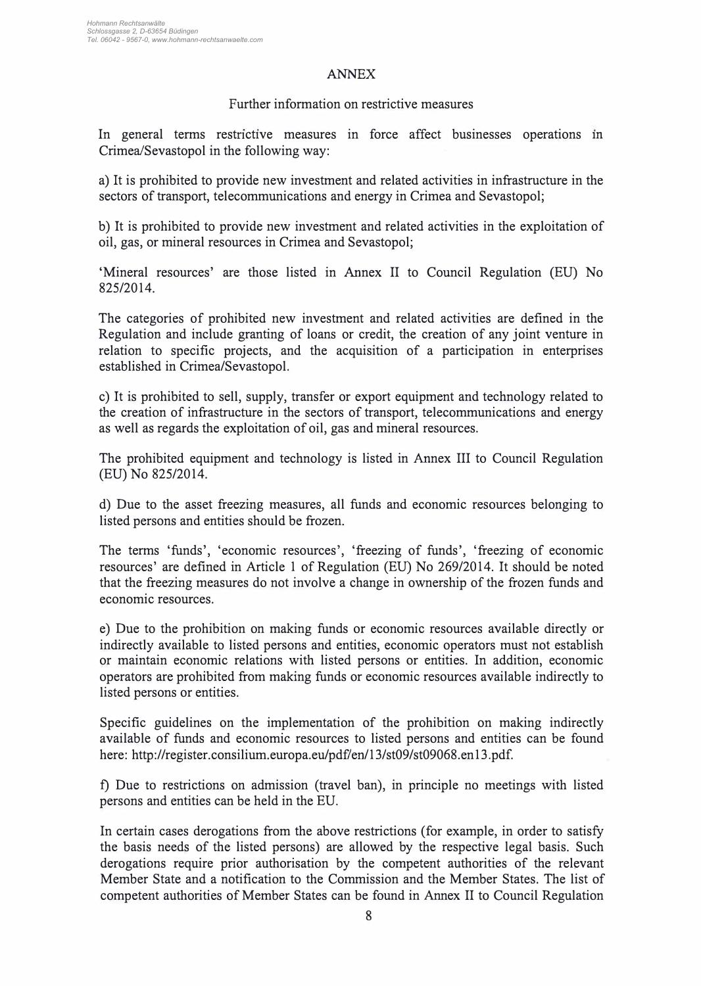#### ANNEX

#### Further information on restrictive measures

In general terms restrictive measures in force affect businesses operations in Crimea/Sevastopol in the following way:

a) lt is prohibited to provide new investment and related activities in infrastructure in the sectors of transport, telecommunications and energy in Crimea and Sevastopol;

b) lt is prohibited to provide new investment and related activities in the exploitation of oil, gas, or mineral resources in Crimea and Sevastopol;

'Mineral resources' are those listed in Annex II to Council Regulation (EU) No 825/2014.

The categories of prohibited new investment and related activities are defined in the Regulation and include granting of loans or credit, the creation of any joint venture in relation to specific projects, and the acquisition of a participation in enterprises established in Crimea/Sevastopol.

c) lt is prohibited to sell, supply, transfer or export equipment and technology related to the creation of infrastructure in the sectors of transport, telecommunications and energy as well as regards the exploitation of oil, gas and mineral resources.

The prohibited equipment and technology is listed in Annex III to Council Regulation (EU) No 825/2014.

d) Due to the asset freezing measures, all funds and economic resources belonging to listed persons and entities should be frozen.

The terms 'funds', 'economic resources', 'freezing of funds', 'freezing of economic resources' are defined in Article 1 of Regulation (EU) No 269/2014. lt should be noted that the freezing measures do not involve a change in ownership of the frozen funds and economic resources.

e) Due to the prohibition on making funds or economic resources available directly or indirectly available to listed persons and entities, economic operators must not establish or maintain economic relations with listed persons or entities. In addition, economic operators are prohibited from making funds or economic resources available indirectly to listed persons or entities.

Specific guidelines on the implementation of the prohibition on making indirectly available of funds and economic resources to listed persons and entities can be found here: http://register.consilium.europa.eu/pdf/en/13/st09/st09068.en13.pdf.

t) Due to restrictions on admission (travel ban), in principle no meetings with listed persons and entities can be held in the EU.

In certain cases derogations from the above restrictions (for example, in order to satisfy the basis needs of the listed persons) are allowed by the respective legal basis. Such derogations require prior authorisation by the competent authorities of the relevant Member State and a notification to the Commission and the Member States. The list of competent authorities of Member States can be found in Annex II to Council Regulation